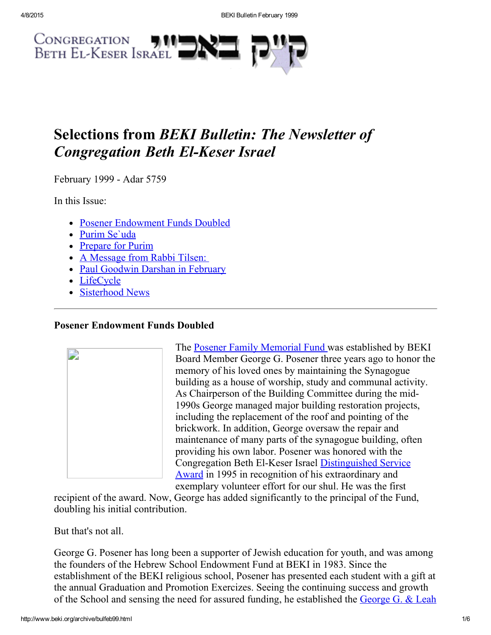

# Selections from BEKI Bulletin: The Newsletter of **Congregation Beth El-Keser Israel**

February 1999 - Adar 5759

In this Issue:

- Posener [Endowment](#page-0-0) Funds Doubled
- Purim [Se`uda](#page-1-1)
- [Prepare](#page-1-0) for Purim
- A [Message](#page-2-0) from Rabbi Tilsen:
- Paul [Goodwin](#page-3-0) Darshan in February
- [LifeCycle](#page-4-1)
- [Sisterhood](#page-4-0) News

# <span id="page-0-0"></span>Posener Endowment Funds Doubled



The Posener Family [Memorial](http://www.beki.org/archive/endowment.html#Posener) Fund was established by BEKI Board Member George G. Posener three years ago to honor the memory of his loved ones by maintaining the Synagogue building as a house of worship, study and communal activity. As Chairperson of the Building Committee during the mid-1990s George managed major building restoration projects, including the replacement of the roof and pointing of the brickwork. In addition, George oversaw the repair and maintenance of many parts of the synagogue building, often providing his own labor. Posener was honored with the Congregation Beth El-Keser Israel [Distinguished](http://www.beki.org/archive/distinguished.html#george) Service Award in 1995 in recognition of his extraordinary and exemplary volunteer effort for our shul. He was the first

recipient of the award. Now, George has added significantly to the principal of the Fund, doubling his initial contribution.

But that's not all.

George G. Posener has long been a supporter of Jewish education for youth, and was among the founders of the Hebrew School Endowment Fund at BEKI in 1983. Since the establishment of the BEKI religious school, Posener has presented each student with a gift at the annual Graduation and Promotion Exercizes. Seeing the continuing success and growth of the School and sensing the need for assured funding, he established the George G. & Leah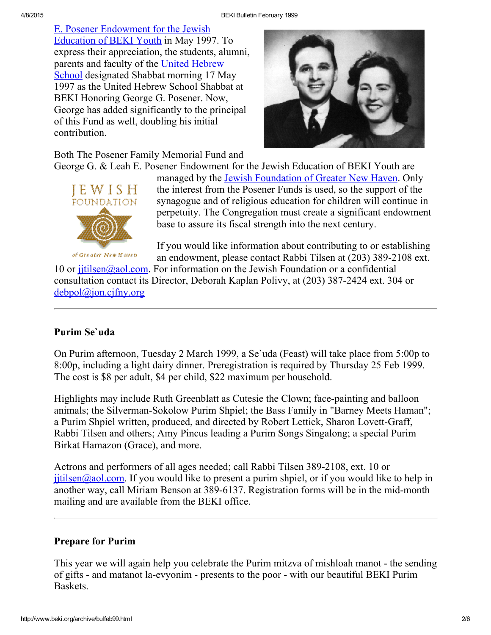E. Posener [Endowment](http://www.beki.org/archive/endowment.html#PosenerYouth) for the Jewish Education of BEKI Youth in May 1997. To express their appreciation, the students, alumni, parents and faculty of the United Hebrew School [designated](http://www.beki.org/archive/youth.html#UHS) Shabbat morning 17 May 1997 as the United Hebrew School Shabbat at BEKI Honoring George G. Posener. Now, George has added significantly to the principal of this Fund as well, doubling his initial contribution.



Both The Posener Family Memorial Fund and

George G. & Leah E. Posener Endowment for the Jewish Education of BEKI Youth are



of Greater New Haven

managed by the Jewish [Foundation](http://www.jewishnewhaven.org/FOUNDTN.htm) of Greater New Haven. Only the interest from the Posener Funds is used, so the support of the synagogue and of religious education for children will continue in perpetuity. The Congregation must create a significant endowment base to assure its fiscal strength into the next century.

If you would like information about contributing to or establishing an endowment, please contact Rabbi Tilsen at (203) 389-2108 ext.

10 or jitilsen@aol.com. For information on the Jewish Foundation or a confidential consultation contact its Director, Deborah Kaplan Polivy, at (203) 387-2424 ext. 304 or [debpol@jon.cjfny.org](mailto:debpol@jon.cjfny.org)

# <span id="page-1-1"></span>Purim Se`uda

On Purim afternoon, Tuesday 2 March 1999, a Se`uda (Feast) will take place from 5:00p to 8:00p, including a light dairy dinner. Preregistration is required by Thursday 25 Feb 1999. The cost is \$8 per adult, \$4 per child, \$22 maximum per household.

Highlights may include Ruth Greenblatt as Cutesie the Clown; face-painting and balloon animals; the Silverman-Sokolow Purim Shpiel; the Bass Family in "Barney Meets Haman"; a Purim Shpiel written, produced, and directed by Robert Lettick, Sharon Lovett-Graff, Rabbi Tilsen and others; Amy Pincus leading a Purim Songs Singalong; a special Purim Birkat Hamazon (Grace), and more.

Actrons and performers of all ages needed; call Rabbi Tilsen 389-2108, ext. 10 or  $j$  itilsen@aol.com. If you would like to present a purim shpiel, or if you would like to help in another way, call Miriam Benson at 389-6137. Registration forms will be in the mid-month mailing and are available from the BEKI office.

### <span id="page-1-0"></span>Prepare for Purim

This year we will again help you celebrate the Purim mitzva of mishloah manot - the sending of gifts - and matanot la-evyonim - presents to the poor - with our beautiful BEKI Purim Baskets.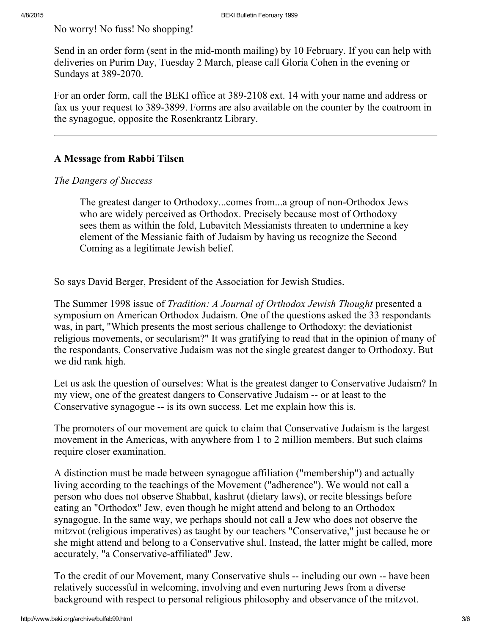No worry! No fuss! No shopping!

Send in an order form (sent in the mid-month mailing) by 10 February. If you can help with deliveries on Purim Day, Tuesday 2 March, please call Gloria Cohen in the evening or Sundays at 389-2070.

For an order form, call the BEKI office at 389-2108 ext. 14 with your name and address or fax us your request to 389-3899. Forms are also available on the counter by the coatroom in the synagogue, opposite the Rosenkrantz Library.

## <span id="page-2-0"></span>A Message from Rabbi Tilsen

### The Dangers of Success

The greatest danger to Orthodoxy...comes from...a group of non-Orthodox Jews who are widely perceived as Orthodox. Precisely because most of Orthodoxy sees them as within the fold, Lubavitch Messianists threaten to undermine a key element of the Messianic faith of Judaism by having us recognize the Second Coming as a legitimate Jewish belief.

So says David Berger, President of the Association for Jewish Studies.

The Summer 1998 issue of *Tradition: A Journal of Orthodox Jewish Thought* presented a symposium on American Orthodox Judaism. One of the questions asked the 33 respondants was, in part, "Which presents the most serious challenge to Orthodoxy: the deviationist religious movements, or secularism?" It was gratifying to read that in the opinion of many of the respondants, Conservative Judaism was not the single greatest danger to Orthodoxy. But we did rank high.

Let us ask the question of ourselves: What is the greatest danger to Conservative Judaism? In my view, one of the greatest dangers to Conservative Judaism -- or at least to the Conservative synagogue -- is its own success. Let me explain how this is.

The promoters of our movement are quick to claim that Conservative Judaism is the largest movement in the Americas, with anywhere from 1 to 2 million members. But such claims require closer examination.

A distinction must be made between synagogue affiliation ("membership") and actually living according to the teachings of the Movement ("adherence"). We would not call a person who does not observe Shabbat, kashrut (dietary laws), or recite blessings before eating an "Orthodox" Jew, even though he might attend and belong to an Orthodox synagogue. In the same way, we perhaps should not call a Jew who does not observe the mitzvot (religious imperatives) as taught by our teachers "Conservative," just because he or she might attend and belong to a Conservative shul. Instead, the latter might be called, more accurately, "a Conservative-affiliated" Jew.

To the credit of our Movement, many Conservative shuls -- including our own -- have been relatively successful in welcoming, involving and even nurturing Jews from a diverse background with respect to personal religious philosophy and observance of the mitzvot.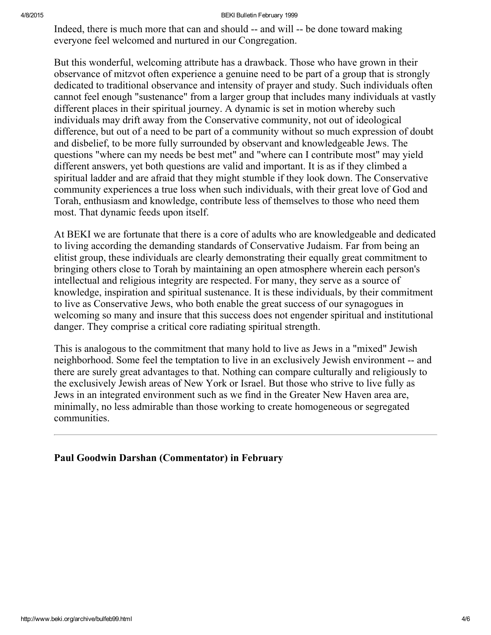#### 4/8/2015 BEKI Bulletin February 1999

Indeed, there is much more that can and should -- and will -- be done toward making everyone feel welcomed and nurtured in our Congregation.

But this wonderful, welcoming attribute has a drawback. Those who have grown in their observance of mitzvot often experience a genuine need to be part of a group that is strongly dedicated to traditional observance and intensity of prayer and study. Such individuals often cannot feel enough "sustenance" from a larger group that includes many individuals at vastly different places in their spiritual journey. A dynamic is set in motion whereby such individuals may drift away from the Conservative community, not out of ideological difference, but out of a need to be part of a community without so much expression of doubt and disbelief, to be more fully surrounded by observant and knowledgeable Jews. The questions "where can my needs be best met" and "where can I contribute most" may yield different answers, yet both questions are valid and important. It is as if they climbed a spiritual ladder and are afraid that they might stumble if they look down. The Conservative community experiences a true loss when such individuals, with their great love of God and Torah, enthusiasm and knowledge, contribute less of themselves to those who need them most. That dynamic feeds upon itself.

At BEKI we are fortunate that there is a core of adults who are knowledgeable and dedicated to living according the demanding standards of Conservative Judaism. Far from being an elitist group, these individuals are clearly demonstrating their equally great commitment to bringing others close to Torah by maintaining an open atmosphere wherein each person's intellectual and religious integrity are respected. For many, they serve as a source of knowledge, inspiration and spiritual sustenance. It is these individuals, by their commitment to live as Conservative Jews, who both enable the great success of our synagogues in welcoming so many and insure that this success does not engender spiritual and institutional danger. They comprise a critical core radiating spiritual strength.

This is analogous to the commitment that many hold to live as Jews in a "mixed" Jewish neighborhood. Some feel the temptation to live in an exclusively Jewish environment -- and there are surely great advantages to that. Nothing can compare culturally and religiously to the exclusively Jewish areas of New York or Israel. But those who strive to live fully as Jews in an integrated environment such as we find in the Greater New Haven area are, minimally, no less admirable than those working to create homogeneous or segregated communities.

### <span id="page-3-0"></span>Paul Goodwin Darshan (Commentator) in February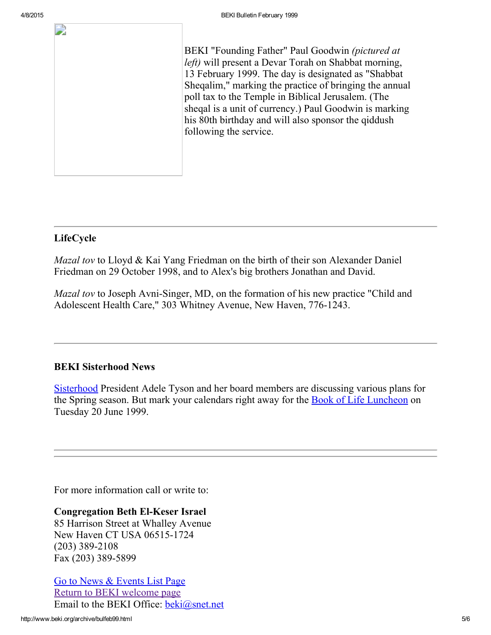2

BEKI "Founding Father" Paul Goodwin (pictured at left) will present a Devar Torah on Shabbat morning, 13 February 1999. The day is designated as "Shabbat Sheqalim," marking the practice of bringing the annual poll tax to the Temple in Biblical Jerusalem. (The sheqal is a unit of currency.) Paul Goodwin is marking his 80th birthday and will also sponsor the qiddush following the service.

# <span id="page-4-1"></span>LifeCycle

Mazal tov to Lloyd & Kai Yang Friedman on the birth of their son Alexander Daniel Friedman on 29 October 1998, and to Alex's big brothers Jonathan and David.

*Mazal tov* to Joseph Avni-Singer, MD, on the formation of his new practice "Child and Adolescent Health Care," 303 Whitney Avenue, New Haven, 776-1243.

### <span id="page-4-0"></span>BEKI Sisterhood News

[Sisterhood](http://www.beki.org/archive/sisterhood.html) President Adele Tyson and her board members are discussing various plans for the Spring season. But mark your calendars right away for the **Book of Life [Luncheon](http://www.beki.org/archive/sisterhood.html#bookoflife)** on Tuesday 20 June 1999.

For more information call or write to:

Congregation Beth El-Keser Israel 85 Harrison Street at Whalley Avenue New Haven CT USA 06515-1724  $(203)$  389-2108 Fax (203) 389-5899

Go to News & [Events](http://www.beki.org/archive/newsindex.html) List Page Return to BEKI [welcome](http://www.beki.org/archive/index.html) page Email to the BEKI Office: [beki@snet.net](mailto:beki@snet.net)